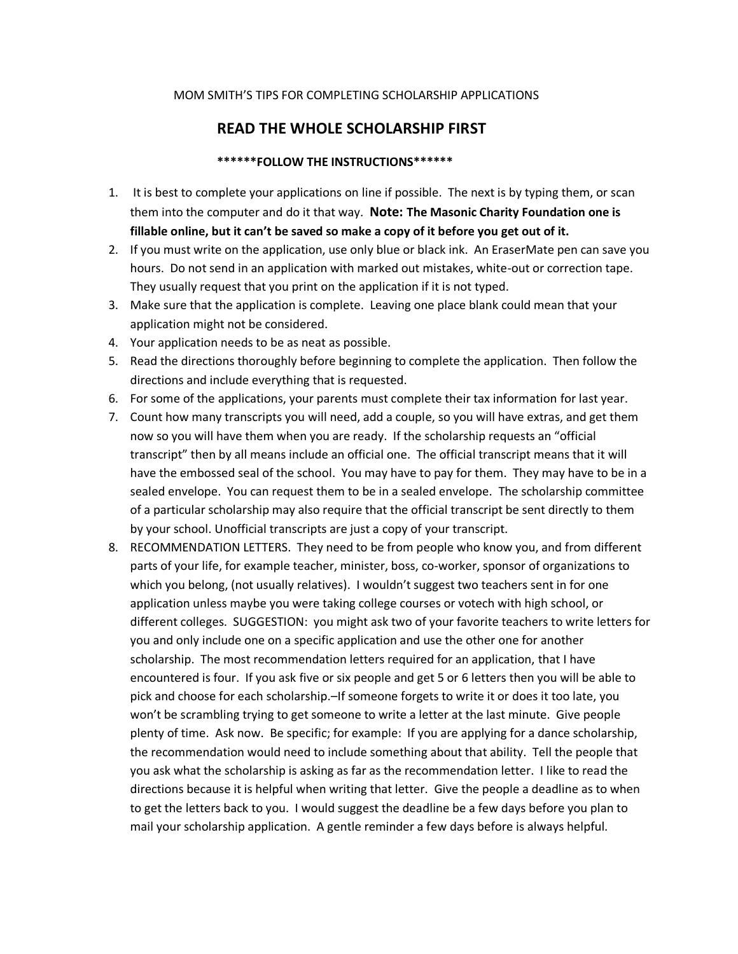## MOM SMITH'S TIPS FOR COMPLETING SCHOLARSHIP APPLICATIONS

## **READ THE WHOLE SCHOLARSHIP FIRST**

## **\*\*\*\*\*\*FOLLOW THE INSTRUCTIONS\*\*\*\*\*\***

- 1. It is best to complete your applications on line if possible. The next is by typing them, or scan them into the computer and do it that way. **Note: The Masonic Charity Foundation one is fillable online, but it can't be saved so make a copy of it before you get out of it.**
- 2. If you must write on the application, use only blue or black ink. An EraserMate pen can save you hours. Do not send in an application with marked out mistakes, white-out or correction tape. They usually request that you print on the application if it is not typed.
- 3. Make sure that the application is complete. Leaving one place blank could mean that your application might not be considered.
- 4. Your application needs to be as neat as possible.
- 5. Read the directions thoroughly before beginning to complete the application. Then follow the directions and include everything that is requested.
- 6. For some of the applications, your parents must complete their tax information for last year.
- 7. Count how many transcripts you will need, add a couple, so you will have extras, and get them now so you will have them when you are ready. If the scholarship requests an "official transcript" then by all means include an official one. The official transcript means that it will have the embossed seal of the school. You may have to pay for them. They may have to be in a sealed envelope. You can request them to be in a sealed envelope. The scholarship committee of a particular scholarship may also require that the official transcript be sent directly to them by your school. Unofficial transcripts are just a copy of your transcript.
- 8. RECOMMENDATION LETTERS. They need to be from people who know you, and from different parts of your life, for example teacher, minister, boss, co-worker, sponsor of organizations to which you belong, (not usually relatives). I wouldn't suggest two teachers sent in for one application unless maybe you were taking college courses or votech with high school, or different colleges. SUGGESTION: you might ask two of your favorite teachers to write letters for you and only include one on a specific application and use the other one for another scholarship. The most recommendation letters required for an application, that I have encountered is four. If you ask five or six people and get 5 or 6 letters then you will be able to pick and choose for each scholarship.–If someone forgets to write it or does it too late, you won't be scrambling trying to get someone to write a letter at the last minute. Give people plenty of time. Ask now. Be specific; for example: If you are applying for a dance scholarship, the recommendation would need to include something about that ability. Tell the people that you ask what the scholarship is asking as far as the recommendation letter. I like to read the directions because it is helpful when writing that letter. Give the people a deadline as to when to get the letters back to you. I would suggest the deadline be a few days before you plan to mail your scholarship application. A gentle reminder a few days before is always helpful.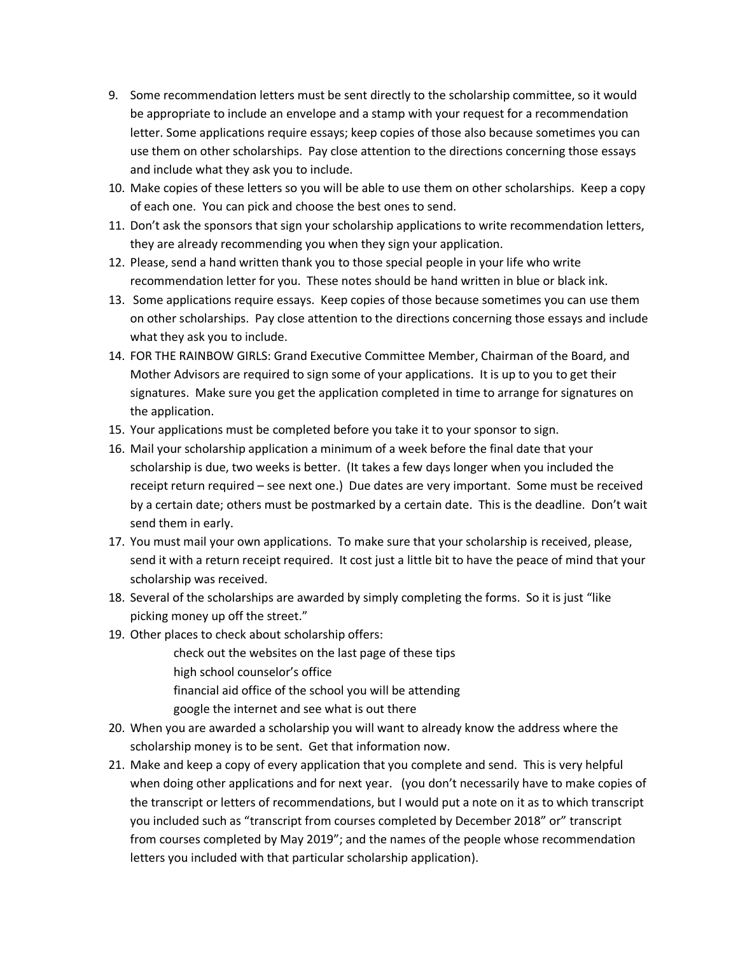- 9. Some recommendation letters must be sent directly to the scholarship committee, so it would be appropriate to include an envelope and a stamp with your request for a recommendation letter. Some applications require essays; keep copies of those also because sometimes you can use them on other scholarships. Pay close attention to the directions concerning those essays and include what they ask you to include.
- 10. Make copies of these letters so you will be able to use them on other scholarships. Keep a copy of each one. You can pick and choose the best ones to send.
- 11. Don't ask the sponsors that sign your scholarship applications to write recommendation letters, they are already recommending you when they sign your application.
- 12. Please, send a hand written thank you to those special people in your life who write recommendation letter for you. These notes should be hand written in blue or black ink.
- 13. Some applications require essays. Keep copies of those because sometimes you can use them on other scholarships. Pay close attention to the directions concerning those essays and include what they ask you to include.
- 14. FOR THE RAINBOW GIRLS: Grand Executive Committee Member, Chairman of the Board, and Mother Advisors are required to sign some of your applications. It is up to you to get their signatures. Make sure you get the application completed in time to arrange for signatures on the application.
- 15. Your applications must be completed before you take it to your sponsor to sign.
- 16. Mail your scholarship application a minimum of a week before the final date that your scholarship is due, two weeks is better. (It takes a few days longer when you included the receipt return required – see next one.) Due dates are very important. Some must be received by a certain date; others must be postmarked by a certain date. This is the deadline. Don't wait send them in early.
- 17. You must mail your own applications. To make sure that your scholarship is received, please, send it with a return receipt required. It cost just a little bit to have the peace of mind that your scholarship was received.
- 18. Several of the scholarships are awarded by simply completing the forms. So it is just "like picking money up off the street."
- 19. Other places to check about scholarship offers:

check out the websites on the last page of these tips high school counselor's office financial aid office of the school you will be attending google the internet and see what is out there

- 20. When you are awarded a scholarship you will want to already know the address where the scholarship money is to be sent. Get that information now.
- 21. Make and keep a copy of every application that you complete and send. This is very helpful when doing other applications and for next year. (you don't necessarily have to make copies of the transcript or letters of recommendations, but I would put a note on it as to which transcript you included such as "transcript from courses completed by December 2018" or" transcript from courses completed by May 2019"; and the names of the people whose recommendation letters you included with that particular scholarship application).